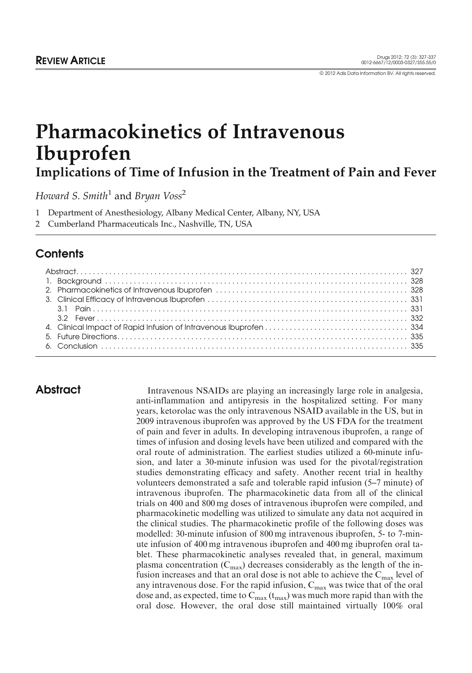# Pharmacokinetics of Intravenous Ibuprofen Implications of Time of Infusion in the Treatment of Pain and Fever

Howard S. Smith<sup>1</sup> and Bryan Voss<sup>2</sup>

- 1 Department of Anesthesiology, Albany Medical Center, Albany, NY, USA
- 2 Cumberland Pharmaceuticals Inc., Nashville, TN, USA

## **Contents**

Abstract Intravenous NSAIDs are playing an increasingly large role in analgesia, anti-inflammation and antipyresis in the hospitalized setting. For many years, ketorolac was the only intravenous NSAID available in the US, but in 2009 intravenous ibuprofen was approved by the US FDA for the treatment of pain and fever in adults. In developing intravenous ibuprofen, a range of times of infusion and dosing levels have been utilized and compared with the oral route of administration. The earliest studies utilized a 60-minute infusion, and later a 30-minute infusion was used for the pivotal/registration studies demonstrating efficacy and safety. Another recent trial in healthy volunteers demonstrated a safe and tolerable rapid infusion (5–7 minute) of intravenous ibuprofen. The pharmacokinetic data from all of the clinical trials on 400 and 800 mg doses of intravenous ibuprofen were compiled, and pharmacokinetic modelling was utilized to simulate any data not acquired in the clinical studies. The pharmacokinetic profile of the following doses was modelled: 30-minute infusion of 800 mg intravenous ibuprofen, 5- to 7-minute infusion of 400 mg intravenous ibuprofen and 400 mg ibuprofen oral tablet. These pharmacokinetic analyses revealed that, in general, maximum plasma concentration  $(C_{\text{max}})$  decreases considerably as the length of the infusion increases and that an oral dose is not able to achieve the  $C_{\text{max}}$  level of any intravenous dose. For the rapid infusion,  $C_{\text{max}}$  was twice that of the oral dose and, as expected, time to  $C_{\text{max}}(t_{\text{max}})$  was much more rapid than with the oral dose. However, the oral dose still maintained virtually 100% oral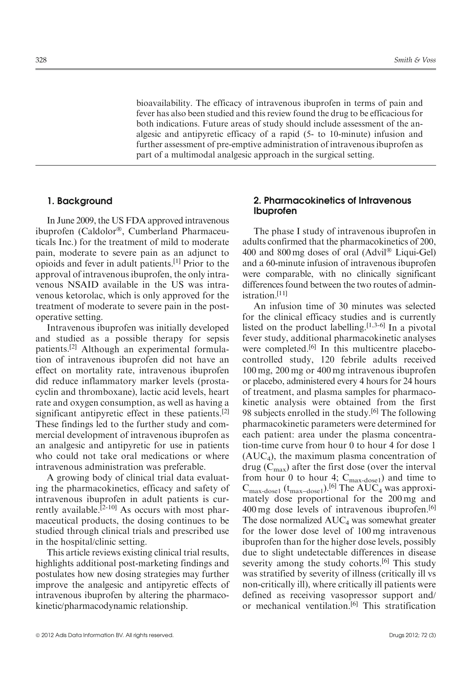bioavailability. The efficacy of intravenous ibuprofen in terms of pain and fever has also been studied and this review found the drug to be efficacious for both indications. Future areas of study should include assessment of the analgesic and antipyretic efficacy of a rapid (5- to 10-minute) infusion and further assessment of pre-emptive administration of intravenous ibuprofen as part of a multimodal analgesic approach in the surgical setting.

#### 1. Background

In June 2009, the US FDA approved intravenous ibuprofen (Caldolor®, Cumberland Pharmaceuticals Inc.) for the treatment of mild to moderate pain, moderate to severe pain as an adjunct to opioids and fever in adult patients.[1] Prior to the approval of intravenous ibuprofen, the only intravenous NSAID available in the US was intravenous ketorolac, which is only approved for the treatment of moderate to severe pain in the postoperative setting.

Intravenous ibuprofen was initially developed and studied as a possible therapy for sepsis patients.[2] Although an experimental formulation of intravenous ibuprofen did not have an effect on mortality rate, intravenous ibuprofen did reduce inflammatory marker levels (prostacyclin and thromboxane), lactic acid levels, heart rate and oxygen consumption, as well as having a significant antipyretic effect in these patients.<sup>[2]</sup> These findings led to the further study and commercial development of intravenous ibuprofen as an analgesic and antipyretic for use in patients who could not take oral medications or where intravenous administration was preferable.

A growing body of clinical trial data evaluating the pharmacokinetics, efficacy and safety of intravenous ibuprofen in adult patients is currently available.<sup>[2-10]</sup> As occurs with most pharmaceutical products, the dosing continues to be studied through clinical trials and prescribed use in the hospital/clinic setting.

This article reviews existing clinical trial results, highlights additional post-marketing findings and postulates how new dosing strategies may further improve the analgesic and antipyretic effects of intravenous ibuprofen by altering the pharmacokinetic/pharmacodynamic relationship.

### 2. Pharmacokinetics of Intravenous Ibuprofen

The phase I study of intravenous ibuprofen in adults confirmed that the pharmacokinetics of 200, 400 and 800 mg doses of oral (Advil® Liqui-Gel) and a 60-minute infusion of intravenous ibuprofen were comparable, with no clinically significant differences found between the two routes of administration.[11]

An infusion time of 30 minutes was selected for the clinical efficacy studies and is currently listed on the product labelling. $[1,3-6]$  In a pivotal fever study, additional pharmacokinetic analyses were completed.<sup>[6]</sup> In this multicentre placebocontrolled study, 120 febrile adults received 100 mg, 200 mg or 400 mg intravenous ibuprofen or placebo, administered every 4 hours for 24 hours of treatment, and plasma samples for pharmacokinetic analysis were obtained from the first 98 subjects enrolled in the study.<sup>[6]</sup> The following pharmacokinetic parameters were determined for each patient: area under the plasma concentration-time curve from hour 0 to hour 4 for dose 1  $(AUC<sub>4</sub>)$ , the maximum plasma concentration of drug  $(C_{\text{max}})$  after the first dose (over the interval from hour 0 to hour 4;  $C_{\text{max-dose1}}$ ) and time to  $C_{\text{max-dose1}}$  ( $t_{\text{max-dose1}}$ ).<sup>[6]</sup> The AUC<sub>4</sub> was approximately dose proportional for the 200 mg and  $400 \,\text{mg}$  dose levels of intravenous ibuprofen.<sup>[6]</sup> The dose normalized  $AUC_4$  was somewhat greater for the lower dose level of 100 mg intravenous ibuprofen than for the higher dose levels, possibly due to slight undetectable differences in disease severity among the study cohorts.<sup>[6]</sup> This study was stratified by severity of illness (critically ill vs non-critically ill), where critically ill patients were defined as receiving vasopressor support and/ or mechanical ventilation.[6] This stratification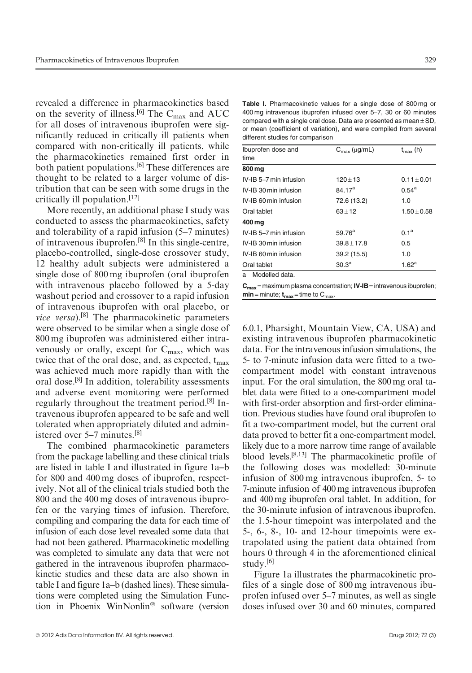revealed a difference in pharmacokinetics based on the severity of illness.<sup>[6]</sup> The C<sub>max</sub> and AUC for all doses of intravenous ibuprofen were significantly reduced in critically ill patients when compared with non-critically ill patients, while the pharmacokinetics remained first order in both patient populations.<sup>[6]</sup> These differences are thought to be related to a larger volume of distribution that can be seen with some drugs in the critically ill population.[12]

More recently, an additional phase I study was conducted to assess the pharmacokinetics, safety and tolerability of a rapid infusion (5–7 minutes) of intravenous ibuprofen.[8] In this single-centre, placebo-controlled, single-dose crossover study, 12 healthy adult subjects were administered a single dose of 800 mg ibuprofen (oral ibuprofen with intravenous placebo followed by a 5-day washout period and crossover to a rapid infusion of intravenous ibuprofen with oral placebo, or *vice versa*).<sup>[8]</sup> The pharmacokinetic parameters were observed to be similar when a single dose of 800 mg ibuprofen was administered either intravenously or orally, except for  $C_{\text{max}}$ , which was twice that of the oral dose, and, as expected,  $t_{max}$ was achieved much more rapidly than with the oral dose.[8] In addition, tolerability assessments and adverse event monitoring were performed regularly throughout the treatment period.[8] Intravenous ibuprofen appeared to be safe and well tolerated when appropriately diluted and administered over 5–7 minutes.[8]

The combined pharmacokinetic parameters from the package labelling and these clinical trials are listed in table I and illustrated in figure 1a–b for 800 and 400 mg doses of ibuprofen, respectively. Not all of the clinical trials studied both the 800 and the 400 mg doses of intravenous ibuprofen or the varying times of infusion. Therefore, compiling and comparing the data for each time of infusion of each dose level revealed some data that had not been gathered. Pharmacokinetic modelling was completed to simulate any data that were not gathered in the intravenous ibuprofen pharmacokinetic studies and these data are also shown in table I and figure 1a–b (dashed lines). These simulations were completed using the Simulation Function in Phoenix WinNonlin® software (version

Table I. Pharmacokinetic values for a single dose of 800 mg or 400 mg intravenous ibuprofen infused over 5–7, 30 or 60 minutes compared with a single oral dose. Data are presented as mean  $\pm$  SD, or mean (coefficient of variation), and were compiled from several different studies for comparison

| Ibuprofen dose and<br>time | $C_{\text{max}}$ ( $\mu$ g/mL) | $t_{\text{max}}$ (h) |
|----------------------------|--------------------------------|----------------------|
| 800 mg                     |                                |                      |
| IV-IB 5-7 min infusion     | $120 + 13$                     | $0.11 + 0.01$        |
| IV-IB 30 min infusion      | 84.17 <sup>a</sup>             | $0.54^{\rm a}$       |
| IV-IB 60 min infusion      | 72.6 (13.2)                    | 1.0                  |
| Oral tablet                | $63 + 12$                      | $1.50 + 0.58$        |
| 400 mg                     |                                |                      |
| IV-IB 5-7 min infusion     | $59.76^{\rm a}$                | 0.1 <sup>a</sup>     |
| IV-IB 30 min infusion      | $39.8 \pm 17.8$                | 0.5                  |
| IV-IB 60 min infusion      | 39.2 (15.5)                    | 1.0                  |
| Oral tablet                | 30.3 <sup>a</sup>              | 1.62 <sup>a</sup>    |
| Modelled data.<br>a        |                                |                      |

 $C_{max}$  = maximum plasma concentration;  $IV$ -IB = intravenous ibuprofen;  $min = minute; t_{max} = time to C_{max}$ 

6.0.1, Pharsight, Mountain View, CA, USA) and existing intravenous ibuprofen pharmacokinetic data. For the intravenous infusion simulations, the 5- to 7-minute infusion data were fitted to a twocompartment model with constant intravenous input. For the oral simulation, the 800 mg oral tablet data were fitted to a one-compartment model with first-order absorption and first-order elimination. Previous studies have found oral ibuprofen to fit a two-compartment model, but the current oral data proved to better fit a one-compartment model, likely due to a more narrow time range of available blood levels.[8,13] The pharmacokinetic profile of the following doses was modelled: 30-minute infusion of 800 mg intravenous ibuprofen, 5- to 7-minute infusion of 400 mg intravenous ibuprofen and 400 mg ibuprofen oral tablet. In addition, for the 30-minute infusion of intravenous ibuprofen, the 1.5-hour timepoint was interpolated and the 5-, 6-, 8-, 10- and 12-hour timepoints were extrapolated using the patient data obtained from hours 0 through 4 in the aforementioned clinical study.[6]

Figure 1a illustrates the pharmacokinetic profiles of a single dose of 800 mg intravenous ibuprofen infused over 5–7 minutes, as well as single doses infused over 30 and 60 minutes, compared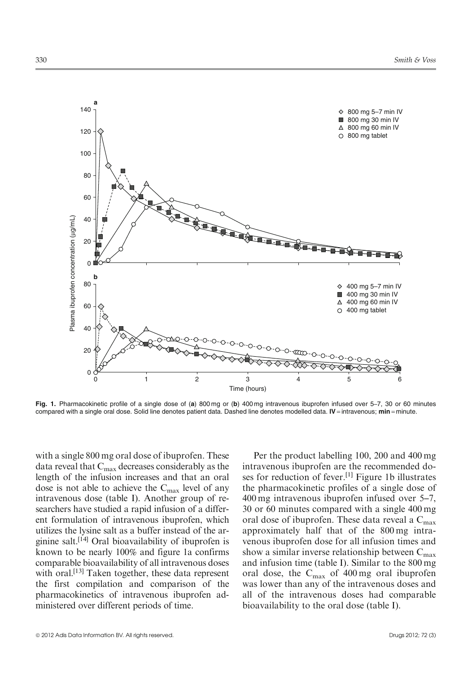

Fig. 1. Pharmacokinetic profile of a single dose of (a) 800 mg or (b) 400 mg intravenous ibuprofen infused over 5–7, 30 or 60 minutes compared with a single oral dose. Solid line denotes patient data. Dashed line denotes modelled data. IV = intravenous;  $min = minute$ .

with a single 800 mg oral dose of ibuprofen. These data reveal that  $C_{\text{max}}$  decreases considerably as the length of the infusion increases and that an oral dose is not able to achieve the  $C_{\text{max}}$  level of any intravenous dose (table I). Another group of researchers have studied a rapid infusion of a different formulation of intravenous ibuprofen, which utilizes the lysine salt as a buffer instead of the arginine salt.[14] Oral bioavailability of ibuprofen is known to be nearly 100% and figure 1a confirms comparable bioavailability of all intravenous doses with oral.<sup>[13]</sup> Taken together, these data represent the first compilation and comparison of the pharmacokinetics of intravenous ibuprofen administered over different periods of time.

Per the product labelling 100, 200 and 400 mg intravenous ibuprofen are the recommended doses for reduction of fever.[1] Figure 1b illustrates the pharmacokinetic profiles of a single dose of 400 mg intravenous ibuprofen infused over 5–7, 30 or 60 minutes compared with a single 400 mg oral dose of ibuprofen. These data reveal a C<sub>max</sub> approximately half that of the 800 mg intravenous ibuprofen dose for all infusion times and show a similar inverse relationship between  $C_{\text{max}}$ and infusion time (table I). Similar to the 800 mg oral dose, the Cmax of 400 mg oral ibuprofen was lower than any of the intravenous doses and all of the intravenous doses had comparable bioavailability to the oral dose (table I).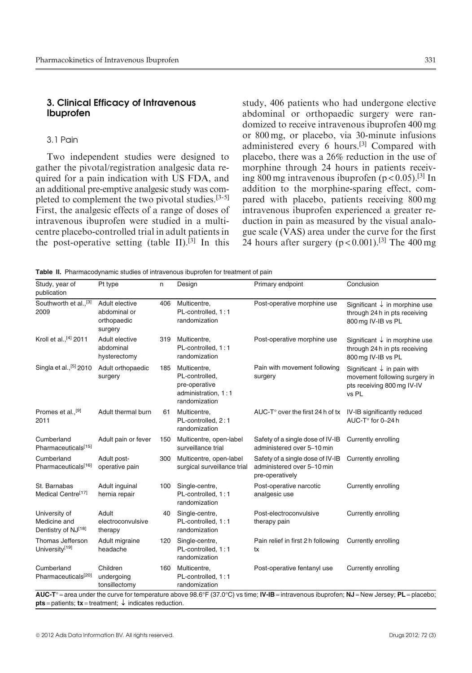#### 3. Clinical Efficacy of Intravenous Ibuprofen

#### 3.1 Pain

Two independent studies were designed to gather the pivotal/registration analgesic data required for a pain indication with US FDA, and an additional pre-emptive analgesic study was completed to complement the two pivotal studies.[3-5] First, the analgesic effects of a range of doses of intravenous ibuprofen were studied in a multicentre placebo-controlled trial in adult patients in the post-operative setting (table II).<sup>[3]</sup> In this study, 406 patients who had undergone elective abdominal or orthopaedic surgery were randomized to receive intravenous ibuprofen 400 mg or 800 mg, or placebo, via 30-minute infusions administered every 6 hours.[3] Compared with placebo, there was a 26% reduction in the use of morphine through 24 hours in patients receiving 800 mg intravenous ibuprofen  $(p < 0.05)$ .<sup>[3]</sup> In addition to the morphine-sparing effect, compared with placebo, patients receiving 800 mg intravenous ibuprofen experienced a greater reduction in pain as measured by the visual analogue scale (VAS) area under the curve for the first 24 hours after surgery  $(p < 0.001)$ .<sup>[3]</sup> The 400 mg

Table II. Pharmacodynamic studies of intravenous ibuprofen for treatment of pain

| Study, year of<br>publication                        | Pt type                                                                             | n   | Design                                                                                  | Primary endpoint                                                                                                                           | Conclusion                                                                                                    |
|------------------------------------------------------|-------------------------------------------------------------------------------------|-----|-----------------------------------------------------------------------------------------|--------------------------------------------------------------------------------------------------------------------------------------------|---------------------------------------------------------------------------------------------------------------|
| Southworth et al., <sup>[3]</sup><br>2009            | Adult elective<br>abdominal or<br>orthopaedic<br>surgery                            | 406 | Multicentre,<br>PL-controlled, 1:1<br>randomization                                     | Post-operative morphine use                                                                                                                | Significant $\downarrow$ in morphine use<br>through 24 h in pts receiving<br>800 mg IV-IB vs PL               |
| Kroll et al., [4] 2011                               | Adult elective<br>abdominal<br>hysterectomy                                         | 319 | Multicentre,<br>PL-controlled, 1:1<br>randomization                                     | Post-operative morphine use                                                                                                                | Significant $\downarrow$ in morphine use<br>through 24 h in pts receiving<br>800 mg IV-IB vs PL               |
| Singla et al., <sup>[5]</sup> 2010                   | Adult orthopaedic<br>surgery                                                        | 185 | Multicentre,<br>PL-controlled,<br>pre-operative<br>administration, 1:1<br>randomization | Pain with movement following<br>surgery                                                                                                    | Significant $\downarrow$ in pain with<br>movement following surgery in<br>pts receiving 800 mg IV-IV<br>vs PL |
| Promes et al., <sup>[9]</sup><br>2011                | Adult thermal burn                                                                  | 61  | Multicentre,<br>PL-controlled, 2:1<br>randomization                                     | AUC-T $^{\circ}$ over the first 24 h of tx                                                                                                 | IV-IB significantly reduced<br>AUC-T° for 0-24 h                                                              |
| Cumberland<br>Pharmaceuticals <sup>[15]</sup>        | Adult pain or fever                                                                 | 150 | Multicentre, open-label<br>surveillance trial                                           | Safety of a single dose of IV-IB<br>administered over 5-10 min                                                                             | Currently enrolling                                                                                           |
| Cumberland<br>Pharmaceuticals[16]                    | Adult post-<br>operative pain                                                       | 300 | Multicentre, open-label<br>surgical surveillance trial                                  | Safety of a single dose of IV-IB<br>administered over 5-10 min<br>pre-operatively                                                          | Currently enrolling                                                                                           |
| St. Barnabas<br>Medical Centre <sup>[17]</sup>       | Adult inquinal<br>hernia repair                                                     | 100 | Single-centre,<br>PL-controlled, 1:1<br>randomization                                   | Post-operative narcotic<br>analgesic use                                                                                                   | Currently enrolling                                                                                           |
| University of<br>Medicine and<br>Dentistry of NJ[18] | Adult<br>electroconvulsive<br>therapy                                               | 40  | Single-centre,<br>PL-controlled, 1:1<br>randomization                                   | Post-electroconvulsive<br>therapy pain                                                                                                     | Currently enrolling                                                                                           |
| Thomas Jefferson<br>University <sup>[19]</sup>       | Adult migraine<br>headache                                                          | 120 | Single-centre,<br>PL-controlled, 1:1<br>randomization                                   | Pain relief in first 2 h following<br>tx                                                                                                   | Currently enrolling                                                                                           |
| Cumberland<br>Pharmaceuticals <sup>[20]</sup>        | Children<br>undergoing<br>tonsillectomy                                             | 160 | Multicentre,<br>PL-controlled, 1:1<br>randomization                                     | Post-operative fentanyl use                                                                                                                | Currently enrolling                                                                                           |
|                                                      | <b>pts</b> = patients; $\mathbf{tx}$ = treatment; $\downarrow$ indicates reduction. |     |                                                                                         | AUC-T° = area under the curve for temperature above 98.6°F (37.0°C) vs time; IV-IB = intravenous ibuprofen; NJ = New Jersey; PL = placebo; |                                                                                                               |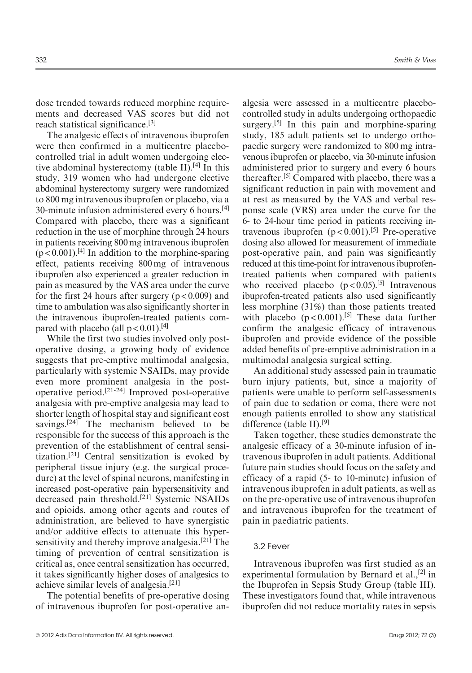dose trended towards reduced morphine requirements and decreased VAS scores but did not reach statistical significance.[3]

The analgesic effects of intravenous ibuprofen were then confirmed in a multicentre placebocontrolled trial in adult women undergoing elective abdominal hysterectomy (table II).<sup>[4]</sup> In this study, 319 women who had undergone elective abdominal hysterectomy surgery were randomized to 800 mg intravenous ibuprofen or placebo, via a 30-minute infusion administered every 6 hours.<sup>[4]</sup> Compared with placebo, there was a significant reduction in the use of morphine through 24 hours in patients receiving 800 mg intravenous ibuprofen  $(p < 0.001)$ .<sup>[4]</sup> In addition to the morphine-sparing effect, patients receiving 800 mg of intravenous ibuprofen also experienced a greater reduction in pain as measured by the VAS area under the curve for the first 24 hours after surgery  $(p < 0.009)$  and time to ambulation was also significantly shorter in the intravenous ibuprofen-treated patients compared with placebo (all  $p < 0.01$ ).<sup>[4]</sup>

While the first two studies involved only postoperative dosing, a growing body of evidence suggests that pre-emptive multimodal analgesia, particularly with systemic NSAIDs, may provide even more prominent analgesia in the postoperative period.[21-24] Improved post-operative analgesia with pre-emptive analgesia may lead to shorter length of hospital stay and significant cost savings.<sup>[24]</sup> The mechanism believed to be responsible for the success of this approach is the prevention of the establishment of central sensitization.[21] Central sensitization is evoked by peripheral tissue injury (e.g. the surgical procedure) at the level of spinal neurons, manifesting in increased post-operative pain hypersensitivity and decreased pain threshold.[21] Systemic NSAIDs and opioids, among other agents and routes of administration, are believed to have synergistic and/or additive effects to attenuate this hypersensitivity and thereby improve analgesia.<sup>[21]</sup> The timing of prevention of central sensitization is critical as, once central sensitization has occurred, it takes significantly higher doses of analgesics to achieve similar levels of analgesia.[21]

The potential benefits of pre-operative dosing of intravenous ibuprofen for post-operative analgesia were assessed in a multicentre placebocontrolled study in adults undergoing orthopaedic surgery.<sup>[5]</sup> In this pain and morphine-sparing study, 185 adult patients set to undergo orthopaedic surgery were randomized to 800 mg intravenous ibuprofen or placebo, via 30-minute infusion administered prior to surgery and every 6 hours thereafter.[5] Compared with placebo, there was a significant reduction in pain with movement and at rest as measured by the VAS and verbal response scale (VRS) area under the curve for the 6- to 24-hour time period in patients receiving intravenous ibuprofen  $(p < 0.001)$ .<sup>[5]</sup> Pre-operative dosing also allowed for measurement of immediate post-operative pain, and pain was significantly reduced at this time-point for intravenous ibuprofentreated patients when compared with patients who received placebo  $(p < 0.05)$ .<sup>[5]</sup> Intravenous ibuprofen-treated patients also used significantly less morphine (31%) than those patients treated with placebo  $(p < 0.001)$ .<sup>[5]</sup> These data further confirm the analgesic efficacy of intravenous ibuprofen and provide evidence of the possible added benefits of pre-emptive administration in a multimodal analgesia surgical setting.

An additional study assessed pain in traumatic burn injury patients, but, since a majority of patients were unable to perform self-assessments of pain due to sedation or coma, there were not enough patients enrolled to show any statistical difference (table II).[9]

Taken together, these studies demonstrate the analgesic efficacy of a 30-minute infusion of intravenous ibuprofen in adult patients. Additional future pain studies should focus on the safety and efficacy of a rapid (5- to 10-minute) infusion of intravenous ibuprofen in adult patients, as well as on the pre-operative use of intravenous ibuprofen and intravenous ibuprofen for the treatment of pain in paediatric patients.

#### 3.2 Fever

Intravenous ibuprofen was first studied as an experimental formulation by Bernard et al.,[2] in the Ibuprofen in Sepsis Study Group (table III). These investigators found that, while intravenous ibuprofen did not reduce mortality rates in sepsis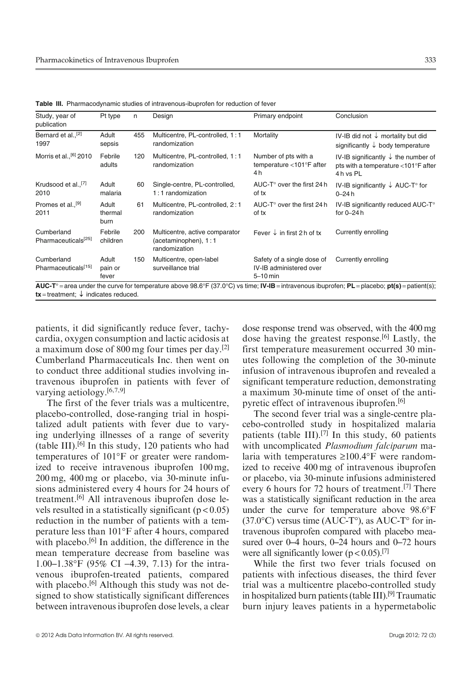|                                                                         | Primary endpoint                                                    | Conclusion                                                                                        |
|-------------------------------------------------------------------------|---------------------------------------------------------------------|---------------------------------------------------------------------------------------------------|
| Multicentre, PL-controlled, 1:1<br>randomization                        | Mortality                                                           | IV-IB did not $\downarrow$ mortality but did<br>significantly $\downarrow$ body temperature       |
| Multicentre, PL-controlled, 1:1<br>randomization                        | Number of pts with a<br>temperature <101°F after<br>4 h             | IV-IB significantly $\downarrow$ the number of<br>pts with a temperature <101°F after<br>4h vs PL |
| Single-centre, PL-controlled,<br>$1:1$ randomization                    | AUC-T $^{\circ}$ over the first 24 h<br>of tx                       | IV-IB significantly $\downarrow$ AUC-T° for<br>$0 - 24h$                                          |
| Multicentre, PL-controlled, 2:1<br>randomization                        | AUC-T $^{\circ}$ over the first 24 h<br>of tx                       | IV-IB significantly reduced AUC-T°<br>for $0 - 24$ h                                              |
| Multicentre, active comparator<br>(acetaminophen), 1:1<br>randomization | Fever $\downarrow$ in first 2 h of tx                               | Currently enrolling                                                                               |
| Multicentre, open-label<br>surveillance trial                           | Safety of a single dose of<br>IV-IB administered over<br>$5-10$ min | Currently enrolling                                                                               |
|                                                                         |                                                                     |                                                                                                   |

Table III. Pharmacodynamic studies of intravenous-ibuprofen for reduction of fever

patients, it did significantly reduce fever, tachycardia, oxygen consumption and lactic acidosis at a maximum dose of 800 mg four times per day.[2] Cumberland Pharmaceuticals Inc. then went on to conduct three additional studies involving intravenous ibuprofen in patients with fever of varying aetiology.[6,7,9]

The first of the fever trials was a multicentre, placebo-controlled, dose-ranging trial in hospitalized adult patients with fever due to varying underlying illnesses of a range of severity (table III).<sup>[6]</sup> In this study, 120 patients who had temperatures of  $101^{\circ}$ F or greater were randomized to receive intravenous ibuprofen 100 mg, 200 mg, 400 mg or placebo, via 30-minute infusions administered every 4 hours for 24 hours of treatment.[6] All intravenous ibuprofen dose levels resulted in a statistically significant  $(p < 0.05)$ reduction in the number of patients with a temperature less than 101°F after 4 hours, compared with placebo.<sup>[6]</sup> In addition, the difference in the mean temperature decrease from baseline was 1.00–1.38°F (95% CI –4.39, 7.13) for the intravenous ibuprofen-treated patients, compared with placebo.<sup>[6]</sup> Although this study was not designed to show statistically significant differences between intravenous ibuprofen dose levels, a clear dose response trend was observed, with the 400 mg dose having the greatest response.<sup>[6]</sup> Lastly, the first temperature measurement occurred 30 minutes following the completion of the 30-minute infusion of intravenous ibuprofen and revealed a significant temperature reduction, demonstrating a maximum 30-minute time of onset of the antipyretic effect of intravenous ibuprofen.[6]

The second fever trial was a single-centre placebo-controlled study in hospitalized malaria patients (table III).<sup>[7]</sup> In this study, 60 patients with uncomplicated Plasmodium falciparum malaria with temperatures  $\geq 100.4$ °F were randomized to receive 400 mg of intravenous ibuprofen or placebo, via 30-minute infusions administered every 6 hours for 72 hours of treatment.<sup>[7]</sup> There was a statistically significant reduction in the area under the curve for temperature above 98.6°F  $(37.0^{\circ}C)$  versus time (AUC-T°), as AUC-T° for intravenous ibuprofen compared with placebo measured over 0–4 hours, 0–24 hours and 0–72 hours were all significantly lower ( $p < 0.05$ ).<sup>[7]</sup>

While the first two fever trials focused on patients with infectious diseases, the third fever trial was a multicentre placebo-controlled study in hospitalized burn patients (table III).<sup>[9]</sup> Traumatic burn injury leaves patients in a hypermetabolic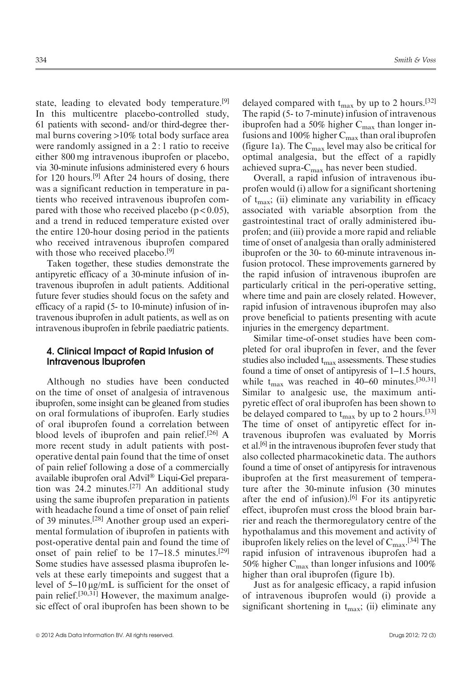state, leading to elevated body temperature.<sup>[9]</sup> In this multicentre placebo-controlled study, 61 patients with second- and/or third-degree thermal burns covering >10% total body surface area were randomly assigned in a 2 : 1 ratio to receive either 800 mg intravenous ibuprofen or placebo, via 30-minute infusions administered every 6 hours for 120 hours.[9] After 24 hours of dosing, there was a significant reduction in temperature in patients who received intravenous ibuprofen compared with those who received placebo  $(p < 0.05)$ , and a trend in reduced temperature existed over the entire 120-hour dosing period in the patients who received intravenous ibuprofen compared with those who received placebo.<sup>[9]</sup>

Taken together, these studies demonstrate the antipyretic efficacy of a 30-minute infusion of intravenous ibuprofen in adult patients. Additional future fever studies should focus on the safety and efficacy of a rapid (5- to 10-minute) infusion of intravenous ibuprofen in adult patients, as well as on intravenous ibuprofen in febrile paediatric patients.

#### 4. Clinical Impact of Rapid Infusion of Intravenous Ibuprofen

Although no studies have been conducted on the time of onset of analgesia of intravenous ibuprofen, some insight can be gleaned from studies on oral formulations of ibuprofen. Early studies of oral ibuprofen found a correlation between blood levels of ibuprofen and pain relief.<sup>[26]</sup> A more recent study in adult patients with postoperative dental pain found that the time of onset of pain relief following a dose of a commercially available ibuprofen oral Advil® Liqui-Gel preparation was 24.2 minutes.[27] An additional study using the same ibuprofen preparation in patients with headache found a time of onset of pain relief of 39 minutes.[28] Another group used an experimental formulation of ibuprofen in patients with post-operative dental pain and found the time of onset of pain relief to be 17–18.5 minutes.[29] Some studies have assessed plasma ibuprofen levels at these early timepoints and suggest that a level of  $5-10 \mu$ g/mL is sufficient for the onset of pain relief.[30,31] However, the maximum analgesic effect of oral ibuprofen has been shown to be delayed compared with  $t_{\text{max}}$  by up to 2 hours.<sup>[32]</sup> The rapid (5- to 7-minute) infusion of intravenous ibuprofen had a 50% higher  $C_{\text{max}}$  than longer infusions and 100% higher  $C_{\text{max}}$  than oral ibuprofen (figure 1a). The  $C_{\text{max}}$  level may also be critical for optimal analgesia, but the effect of a rapidly achieved supra- $C_{\text{max}}$  has never been studied.

Overall, a rapid infusion of intravenous ibuprofen would (i) allow for a significant shortening of  $t_{\text{max}}$ ; (ii) eliminate any variability in efficacy associated with variable absorption from the gastrointestinal tract of orally administered ibuprofen; and (iii) provide a more rapid and reliable time of onset of analgesia than orally administered ibuprofen or the 30- to 60-minute intravenous infusion protocol. These improvements garnered by the rapid infusion of intravenous ibuprofen are particularly critical in the peri-operative setting, where time and pain are closely related. However, rapid infusion of intravenous ibuprofen may also prove beneficial to patients presenting with acute injuries in the emergency department.

Similar time-of-onset studies have been completed for oral ibuprofen in fever, and the fever studies also included  $t_{\text{max}}$  assessments. These studies found a time of onset of antipyresis of 1–1.5 hours, while  $t_{\text{max}}$  was reached in 40–60 minutes.<sup>[30,31]</sup> Similar to analgesic use, the maximum antipyretic effect of oral ibuprofen has been shown to be delayed compared to  $t_{\text{max}}$  by up to 2 hours.<sup>[33]</sup> The time of onset of antipyretic effect for intravenous ibuprofen was evaluated by Morris et al.[6] in the intravenous ibuprofen fever study that also collected pharmacokinetic data. The authors found a time of onset of antipyresis for intravenous ibuprofen at the first measurement of temperature after the 30-minute infusion (30 minutes after the end of infusion).<sup>[6]</sup> For its antipyretic effect, ibuprofen must cross the blood brain barrier and reach the thermoregulatory centre of the hypothalamus and this movement and activity of ibuprofen likely relies on the level of  $C_{\rm max}$ .<sup>[34]</sup> The rapid infusion of intravenous ibuprofen had a 50% higher  $C_{\text{max}}$  than longer infusions and 100% higher than oral ibuprofen (figure 1b).

Just as for analgesic efficacy, a rapid infusion of intravenous ibuprofen would (i) provide a significant shortening in  $t_{\text{max}}$ ; (ii) eliminate any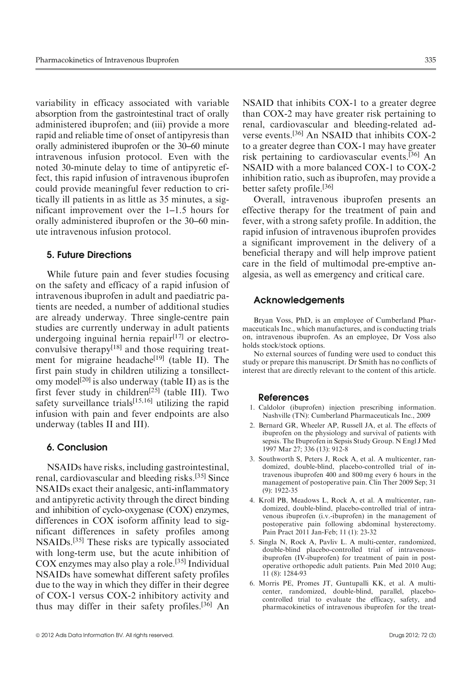variability in efficacy associated with variable absorption from the gastrointestinal tract of orally administered ibuprofen; and (iii) provide a more rapid and reliable time of onset of antipyresis than orally administered ibuprofen or the 30–60 minute intravenous infusion protocol. Even with the noted 30-minute delay to time of antipyretic effect, this rapid infusion of intravenous ibuprofen could provide meaningful fever reduction to critically ill patients in as little as 35 minutes, a significant improvement over the 1–1.5 hours for orally administered ibuprofen or the 30–60 minute intravenous infusion protocol.

#### 5. Future Directions

While future pain and fever studies focusing on the safety and efficacy of a rapid infusion of intravenous ibuprofen in adult and paediatric patients are needed, a number of additional studies are already underway. Three single-centre pain studies are currently underway in adult patients undergoing inguinal hernia repair<sup>[17]</sup> or electroconvulsive therapy<sup>[18]</sup> and those requiring treatment for migraine headache<sup>[19]</sup> (table II). The first pain study in children utilizing a tonsillectomy model<sup>[20]</sup> is also underway (table II) as is the first fever study in children<sup>[25]</sup> (table III). Two safety surveillance trials<sup>[15,16]</sup> utilizing the rapid infusion with pain and fever endpoints are also underway (tables II and III).

#### 6. Conclusion

NSAIDs have risks, including gastrointestinal, renal, cardiovascular and bleeding risks.[35] Since NSAIDs exact their analgesic, anti-inflammatory and antipyretic activity through the direct binding and inhibition of cyclo-oxygenase (COX) enzymes, differences in COX isoform affinity lead to significant differences in safety profiles among NSAIDs.[35] These risks are typically associated with long-term use, but the acute inhibition of COX enzymes may also play a role.[35] Individual NSAIDs have somewhat different safety profiles due to the way in which they differ in their degree of COX-1 versus COX-2 inhibitory activity and thus may differ in their safety profiles.[36] An NSAID that inhibits COX-1 to a greater degree than COX-2 may have greater risk pertaining to renal, cardiovascular and bleeding-related adverse events.[36] An NSAID that inhibits COX-2 to a greater degree than COX-1 may have greater risk pertaining to cardiovascular events.[36] An NSAID with a more balanced COX-1 to COX-2 inhibition ratio, such as ibuprofen, may provide a better safety profile.<sup>[36]</sup>

Overall, intravenous ibuprofen presents an effective therapy for the treatment of pain and fever, with a strong safety profile. In addition, the rapid infusion of intravenous ibuprofen provides a significant improvement in the delivery of a beneficial therapy and will help improve patient care in the field of multimodal pre-emptive analgesia, as well as emergency and critical care.

#### Acknowledgements

Bryan Voss, PhD, is an employee of Cumberland Pharmaceuticals Inc., which manufactures, and is conducting trials on, intravenous ibuprofen. As an employee, Dr Voss also holds stock/stock options.

No external sources of funding were used to conduct this study or prepare this manuscript. Dr Smith has no conflicts of interest that are directly relevant to the content of this article.

#### References

- 1. Caldolor (ibuprofen) injection prescribing information. Nashville (TN): Cumberland Pharmaceuticals Inc., 2009
- 2. Bernard GR, Wheeler AP, Russell JA, et al. The effects of ibuprofen on the physiology and survival of patients with sepsis. The Ibuprofen in Sepsis Study Group. N Engl J Med 1997 Mar 27; 336 (13): 912-8
- 3. Southworth S, Peters J, Rock A, et al. A multicenter, randomized, double-blind, placebo-controlled trial of intravenous ibuprofen 400 and 800 mg every 6 hours in the management of postoperative pain. Clin Ther 2009 Sep; 31 (9): 1922-35
- 4. Kroll PB, Meadows L, Rock A, et al. A multicenter, randomized, double-blind, placebo-controlled trial of intravenous ibuprofen (i.v.-ibuprofen) in the management of postoperative pain following abdominal hysterectomy. Pain Pract 2011 Jan-Feb; 11 (1): 23-32
- 5. Singla N, Rock A, Pavliv L. A multi-center, randomized, double-blind placebo-controlled trial of intravenousibuprofen (IV-ibuprofen) for treatment of pain in postoperative orthopedic adult patients. Pain Med 2010 Aug; 11 (8): 1284-93
- 6. Morris PE, Promes JT, Guntupalli KK, et al. A multicenter, randomized, double-blind, parallel, placebocontrolled trial to evaluate the efficacy, safety, and pharmacokinetics of intravenous ibuprofen for the treat-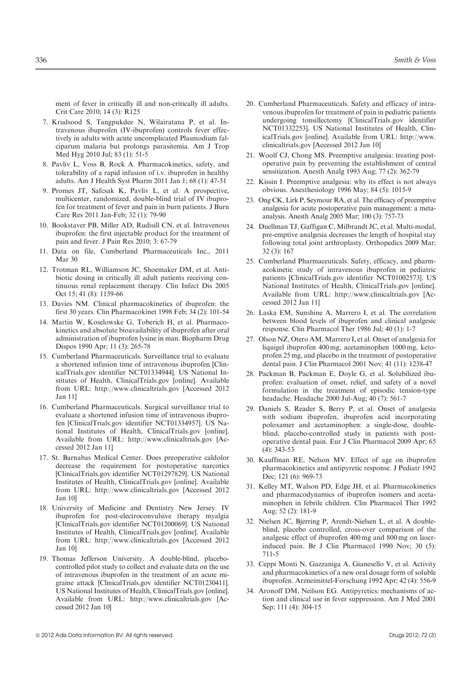ment of fever in critically ill and non-critically ill adults. Crit Care 2010; 14 (3): R125

- 7. Krudsood S, Tangpukdee N, Wilairatana P, et al. Intravenous ibuprofen (IV-ibuprofen) controls fever effectively in adults with acute uncomplicated Plasmodium falciparum malaria but prolongs parasitemia. Am J Trop Med Hyg 2010 Jul; 83 (1): 51-5
- 8. Pavliv L, Voss B, Rock A. Pharmacokinetics, safety, and tolerability of a rapid infusion of i.v. ibuprofen in healthy adults. Am J Health Syst Pharm 2011 Jan 1; 68 (1): 47-51
- 9. Promes JT, Safcsak K, Pavliv L, et al. A prospective, multicenter, randomized, double-blind trial of IV ibuprofen for treatment of fever and pain in burn patients. J Burn Care Res 2011 Jan-Feb; 32 (1): 79-90
- 10. Bookstaver PB, Miller AD, Rudisill CN, et al. Intravenous ibuprofen: the first injectable product for the treatment of pain and fever. J Pain Res 2010; 3: 67-79
- 11. Data on file, Cumberland Pharmaceuticals Inc., 2011 Mar 30
- 12. Trotman RL, Williamson JC, Shoemaker DM, et al. Antibiotic dosing in critically ill adult patients receiving continuous renal replacement therapy. Clin Infect Dis 2005 Oct 15; 41 (8): 1159-66
- 13. Davies NM. Clinical pharmacokinetics of ibuprofen: the first 30 years. Clin Pharmacokinet 1998 Feb; 34 (2): 101-54
- 14. Martin W, Koselowske G, Toberich H, et al. Pharmacokinetics and absolute bioavailability of ibuprofen after oral administration of ibuprofen lysine in man. Biopharm Drug Dispos 1990 Apr; 11 (3): 265-78
- 15. Cumberland Pharmaceuticals. Surveillance trial to evaluate a shortened infusion time of intravenous ibuprofen [ClinicalTrials.gov identifier NCT01334944]. US National Institutes of Health, ClinicalTrials.gov [online]. Available from URL: http://www.clinicaltrials.gov [Accessed 2012 Jan 11]
- 16. Cumberland Pharmaceuticals. Surgical surveillance trial to evaluate a shortened infusion time of intravenous ibuprofen [ClinicalTrials.gov identifier NCT01334957]. US National Institutes of Health, ClinicalTrials.gov [online]. Available from URL: http://www.clinicaltrials.gov [Accessed 2012 Jan 11]
- 17. St. Barnabas Medical Center. Does preoperative caldolor decrease the requirement for postoperative narcotics [ClinicalTrials.gov identifier NCT01297829]. US National Institutes of Health, ClinicalTrials.gov [online]. Available from URL: http://www.clinicaltrials.gov [Accessed 2012 Jan 10]
- 18. University of Medicine and Dentistry New Jersey. IV ibuprofen for post-electroconvulsive therapy myalgia [ClinicalTrials.gov identifier NCT01200069]. US National Institutes of Health, ClinicalTrials.gov [online]. Available from URL: http://www.clinicaltrials.gov [Accessed 2012 Jan 10]
- 19. Thomas Jefferson University. A double-blind, placebocontrolled pilot study to collect and evaluate data on the use of intravenous ibuprofen in the treatment of an acute migraine attack [ClinicalTrials.gov identifier NCT01230411]. US National Institutes of Health, ClinicalTrials.gov [online]. Available from URL: http://www.clinicaltrials.gov [Accessed 2012 Jan 10]
- 20. Cumberland Pharmaceuticals. Safety and efficacy of intravenous ibuprofen for treatment of pain in pediatric patients undergoing tonsillectomy [ClinicalTrials.gov identifier NCT01332253]. US National Institutes of Health, ClinicalTrials.gov [online]. Available from URL: http://www. clinicaltrials.gov [Accessed 2012 Jan 10]
- 21. Woolf CJ, Chong MS. Preemptive analgesia: treating postoperative pain by preventing the establishment of central sensitization. Anesth Analg 1993 Aug; 77 (2): 362-79
- 22. Kissin I. Preemptive analgesia: why its effect is not always obvious. Anesthesiology 1996 May; 84 (5): 1015-9
- 23. Ong CK, Lirk P, Seymour RA, et al. The efficacy of preemptive analgesia for acute postoperative pain management: a metaanalysis. Anesth Analg 2005 Mar; 100 (3): 757-73
- 24. Duellman TJ, Gaffigan C, Milbrandt JC, et al. Multi-modal, pre-emptive analgesia decreases the length of hospital stay following total joint arthroplasty. Orthopedics 2009 Mar; 32 (3): 167
- 25. Cumberland Pharmaceuticals. Safety, efficacy, and pharmacokinetic study of intravenous ibuprofen in pediatric patients [ClinicalTrials.gov identifier NCT01002573]. US National Institutes of Health, ClinicalTrials.gov [online]. Available from URL: http://www.clinicaltrials.gov [Accessed 2012 Jan 11]
- 26. Laska EM, Sunshine A, Marrero I, et al. The correlation between blood levels of ibuprofen and clinical analgesic response. Clin Pharmacol Ther 1986 Jul; 40 (1): 1-7
- 27. Olson NZ, Otero AM, Marrero I, et al. Onset of analgesia for liquigel ibuprofen 400 mg, acetaminophen 1000 mg, ketoprofen 25 mg, and placebo in the treatment of postoperative dental pain. J Clin Pharmacol 2001 Nov; 41 (11): 1238-47
- 28. Packman B, Packman E, Doyle G, et al. Solubilized ibuprofen: evaluation of onset, relief, and safety of a novel formulation in the treatment of episodic tension-type headache. Headache 2000 Jul-Aug; 40 (7): 561-7
- 29. Daniels S, Reader S, Berry P, et al. Onset of analgesia with sodium ibuprofen, ibuprofen acid incorporating poloxamer and acetaminophen: a single-dose, doubleblind, placebo-controlled study in patients with postoperative dental pain. Eur J Clin Pharmacol 2009 Apr; 65 (4): 343-53
- 30. Kauffman RE, Nelson MV. Effect of age on ibuprofen pharmacokinetics and antipyretic response. J Pediatr 1992 Dec; 121 (6): 969-73
- 31. Kelley MT, Walson PD, Edge JH, et al. Pharmacokinetics and pharmacodynamics of ibuprofen isomers and acetaminophen in febrile children. Clin Pharmacol Ther 1992 Aug; 52 (2): 181-9
- 32. Nielsen JC, Bjerring P, Arendt-Nielsen L, et al. A doubleblind, placebo controlled, cross-over comparison of the analgesic effect of ibuprofen 400 mg and 800 mg on laserinduced pain. Br J Clin Pharmacol 1990 Nov; 30 (5): 711-5
- 33. Ceppi Monti N, Gazzaniga A, Gianesello V, et al. Activity and pharmacokinetics of a new oral dosage form of soluble ibuprofen. Arzneimittel-Forschung 1992 Apr; 42 (4): 556-9
- 34. Aronoff DM, Neilson EG. Antipyretics: mechanisms of action and clinical use in fever suppression. Am J Med 2001 Sep; 111 (4): 304-15